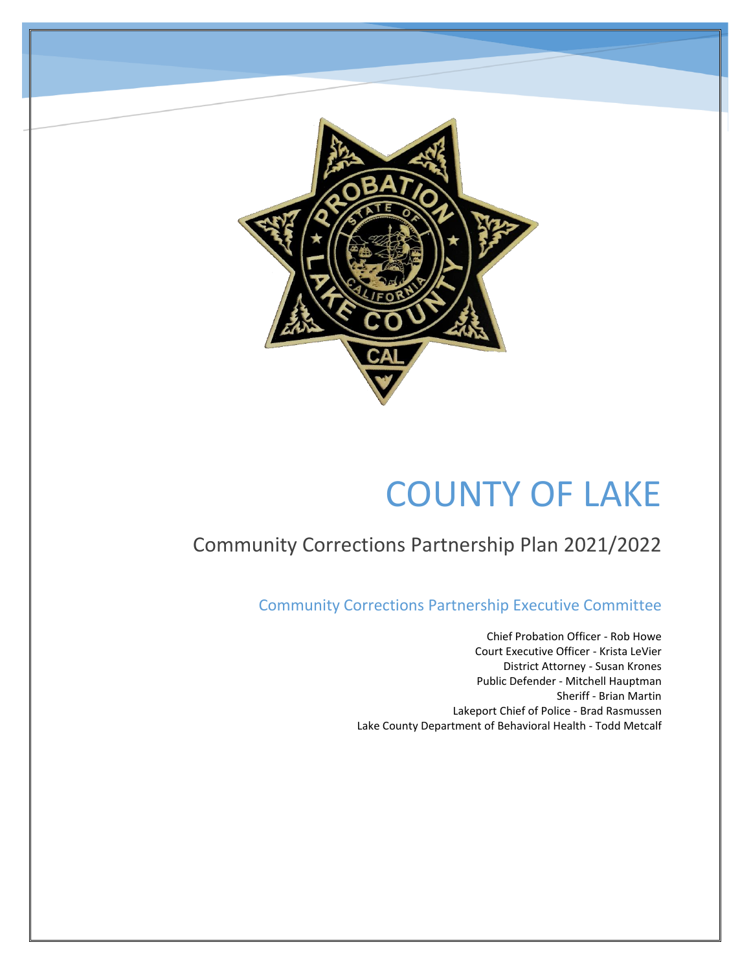

# COUNTY OF LAKE

# Community Corrections Partnership Plan 2021/2022

Community Corrections Partnership Executive Committee

Chief Probation Officer - Rob Howe Court Executive Officer - Krista LeVier District Attorney - Susan Krones Public Defender - Mitchell Hauptman Sheriff - Brian Martin Lakeport Chief of Police - Brad Rasmussen Lake County Department of Behavioral Health - Todd Metcalf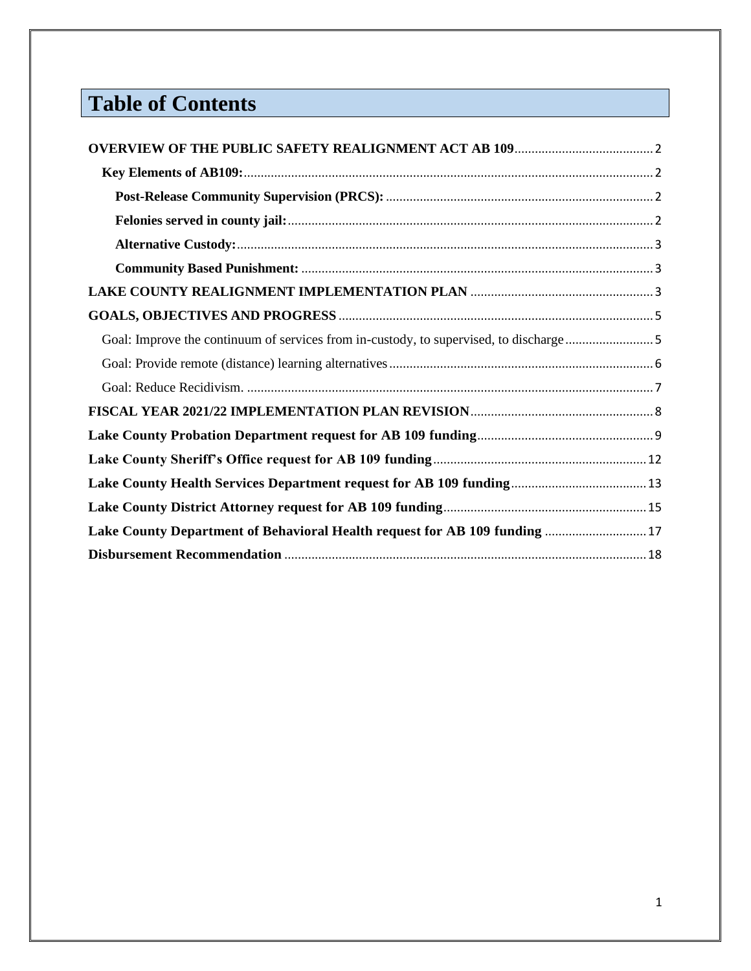# **Table of Contents**

| Lake County Department of Behavioral Health request for AB 109 funding 17 |  |
|---------------------------------------------------------------------------|--|
|                                                                           |  |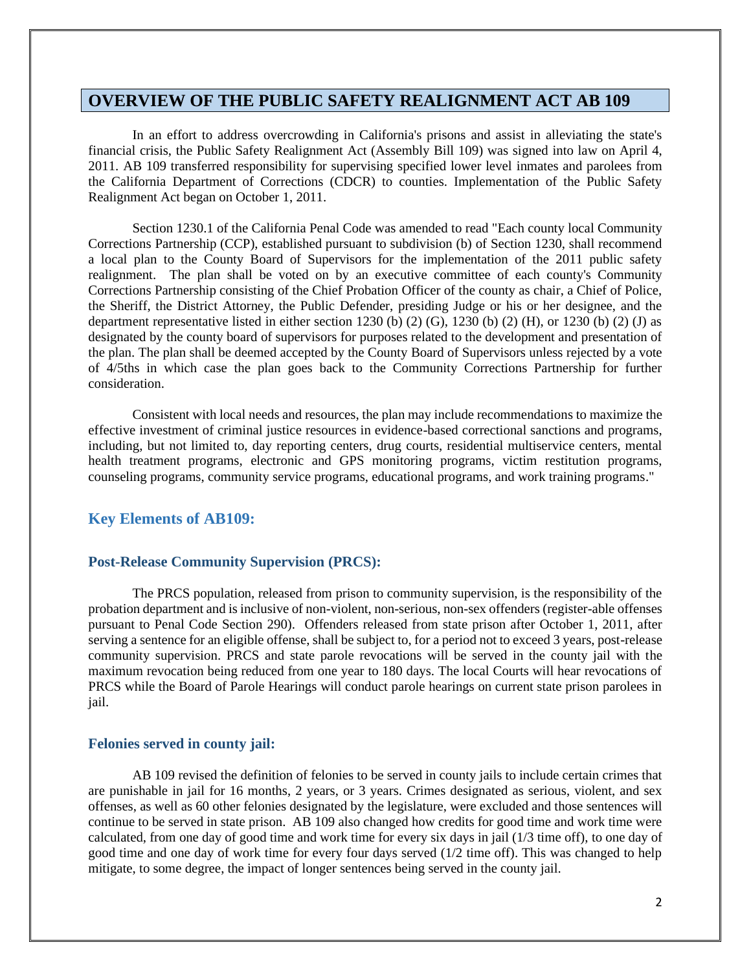#### <span id="page-2-0"></span>**OVERVIEW OF THE PUBLIC SAFETY REALIGNMENT ACT AB 109**

In an effort to address overcrowding in California's prisons and assist in alleviating the state's financial crisis, the Public Safety Realignment Act (Assembly Bill 109) was signed into law on April 4, 2011. AB 109 transferred responsibility for supervising specified lower level inmates and parolees from the California Department of Corrections (CDCR) to counties. Implementation of the Public Safety Realignment Act began on October 1, 2011.

Section 1230.1 of the California Penal Code was amended to read "Each county local Community Corrections Partnership (CCP), established pursuant to subdivision (b) of Section 1230, shall recommend a local plan to the County Board of Supervisors for the implementation of the 2011 public safety realignment. The plan shall be voted on by an executive committee of each county's Community Corrections Partnership consisting of the Chief Probation Officer of the county as chair, a Chief of Police, the Sheriff, the District Attorney, the Public Defender, presiding Judge or his or her designee, and the department representative listed in either section 1230 (b) (2) (G), 1230 (b) (2) (H), or 1230 (b) (2) (J) as designated by the county board of supervisors for purposes related to the development and presentation of the plan. The plan shall be deemed accepted by the County Board of Supervisors unless rejected by a vote of 4/5ths in which case the plan goes back to the Community Corrections Partnership for further consideration.

Consistent with local needs and resources, the plan may include recommendations to maximize the effective investment of criminal justice resources in evidence-based correctional sanctions and programs, including, but not limited to, day reporting centers, drug courts, residential multiservice centers, mental health treatment programs, electronic and GPS monitoring programs, victim restitution programs, counseling programs, community service programs, educational programs, and work training programs."

#### <span id="page-2-1"></span>**Key Elements of AB109:**

#### <span id="page-2-2"></span>**Post-Release Community Supervision (PRCS):**

The PRCS population, released from prison to community supervision, is the responsibility of the probation department and is inclusive of non-violent, non-serious, non-sex offenders (register-able offenses pursuant to Penal Code Section 290). Offenders released from state prison after October 1, 2011, after serving a sentence for an eligible offense, shall be subject to, for a period not to exceed 3 years, post-release community supervision. PRCS and state parole revocations will be served in the county jail with the maximum revocation being reduced from one year to 180 days. The local Courts will hear revocations of PRCS while the Board of Parole Hearings will conduct parole hearings on current state prison parolees in jail.

#### <span id="page-2-3"></span>**Felonies served in county jail:**

AB 109 revised the definition of felonies to be served in county jails to include certain crimes that are punishable in jail for 16 months, 2 years, or 3 years. Crimes designated as serious, violent, and sex offenses, as well as 60 other felonies designated by the legislature, were excluded and those sentences will continue to be served in state prison. AB 109 also changed how credits for good time and work time were calculated, from one day of good time and work time for every six days in jail (1/3 time off), to one day of good time and one day of work time for every four days served (1/2 time off). This was changed to help mitigate, to some degree, the impact of longer sentences being served in the county jail.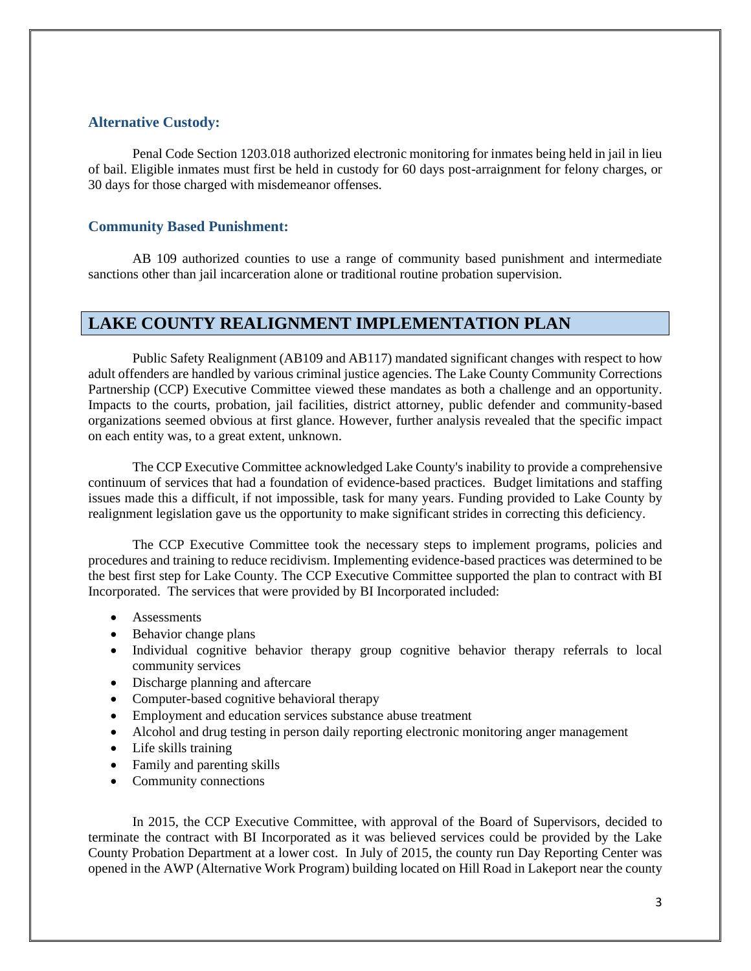#### <span id="page-3-0"></span>**Alternative Custody:**

Penal Code Section 1203.018 authorized electronic monitoring for inmates being held in jail in lieu of bail. Eligible inmates must first be held in custody for 60 days post-arraignment for felony charges, or 30 days for those charged with misdemeanor offenses.

#### <span id="page-3-1"></span>**Community Based Punishment:**

AB 109 authorized counties to use a range of community based punishment and intermediate sanctions other than jail incarceration alone or traditional routine probation supervision.

#### <span id="page-3-2"></span>**LAKE COUNTY REALIGNMENT IMPLEMENTATION PLAN**

Public Safety Realignment (AB109 and AB117) mandated significant changes with respect to how adult offenders are handled by various criminal justice agencies. The Lake County Community Corrections Partnership (CCP) Executive Committee viewed these mandates as both a challenge and an opportunity. Impacts to the courts, probation, jail facilities, district attorney, public defender and community-based organizations seemed obvious at first glance. However, further analysis revealed that the specific impact on each entity was, to a great extent, unknown.

The CCP Executive Committee acknowledged Lake County's inability to provide a comprehensive continuum of services that had a foundation of evidence-based practices. Budget limitations and staffing issues made this a difficult, if not impossible, task for many years. Funding provided to Lake County by realignment legislation gave us the opportunity to make significant strides in correcting this deficiency.

The CCP Executive Committee took the necessary steps to implement programs, policies and procedures and training to reduce recidivism. Implementing evidence-based practices was determined to be the best first step for Lake County. The CCP Executive Committee supported the plan to contract with BI Incorporated. The services that were provided by BI Incorporated included:

- Assessments
- Behavior change plans
- Individual cognitive behavior therapy group cognitive behavior therapy referrals to local community services
- Discharge planning and aftercare
- Computer-based cognitive behavioral therapy
- Employment and education services substance abuse treatment
- Alcohol and drug testing in person daily reporting electronic monitoring anger management
- Life skills training
- Family and parenting skills
- Community connections

In 2015, the CCP Executive Committee, with approval of the Board of Supervisors, decided to terminate the contract with BI Incorporated as it was believed services could be provided by the Lake County Probation Department at a lower cost. In July of 2015, the county run Day Reporting Center was opened in the AWP (Alternative Work Program) building located on Hill Road in Lakeport near the county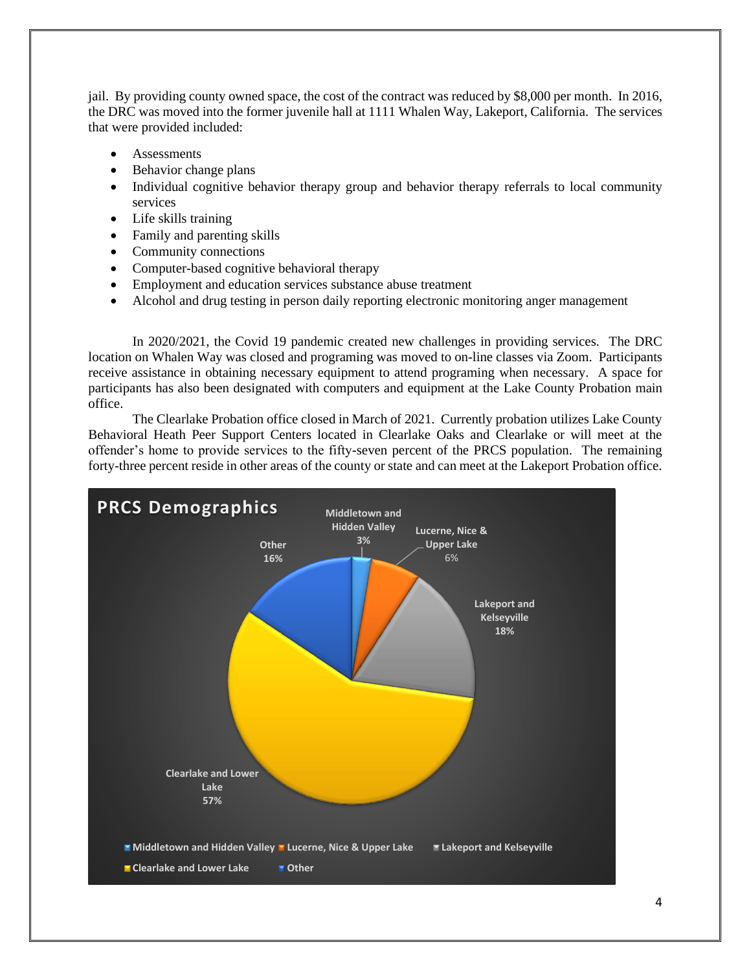jail. By providing county owned space, the cost of the contract was reduced by \$8,000 per month. In 2016, the DRC was moved into the former juvenile hall at 1111 Whalen Way, Lakeport, California. The services that were provided included:

- **Assessments**
- Behavior change plans
- Individual cognitive behavior therapy group and behavior therapy referrals to local community services
- Life skills training
- Family and parenting skills
- Community connections
- Computer-based cognitive behavioral therapy
- Employment and education services substance abuse treatment
- Alcohol and drug testing in person daily reporting electronic monitoring anger management

In 2020/2021, the Covid 19 pandemic created new challenges in providing services. The DRC location on Whalen Way was closed and programing was moved to on-line classes via Zoom. Participants receive assistance in obtaining necessary equipment to attend programing when necessary. A space for participants has also been designated with computers and equipment at the Lake County Probation main office.

The Clearlake Probation office closed in March of 2021. Currently probation utilizes Lake County Behavioral Heath Peer Support Centers located in Clearlake Oaks and Clearlake or will meet at the offender's home to provide services to the fifty-seven percent of the PRCS population. The remaining forty-three percent reside in other areas of the county or state and can meet at the Lakeport Probation office.

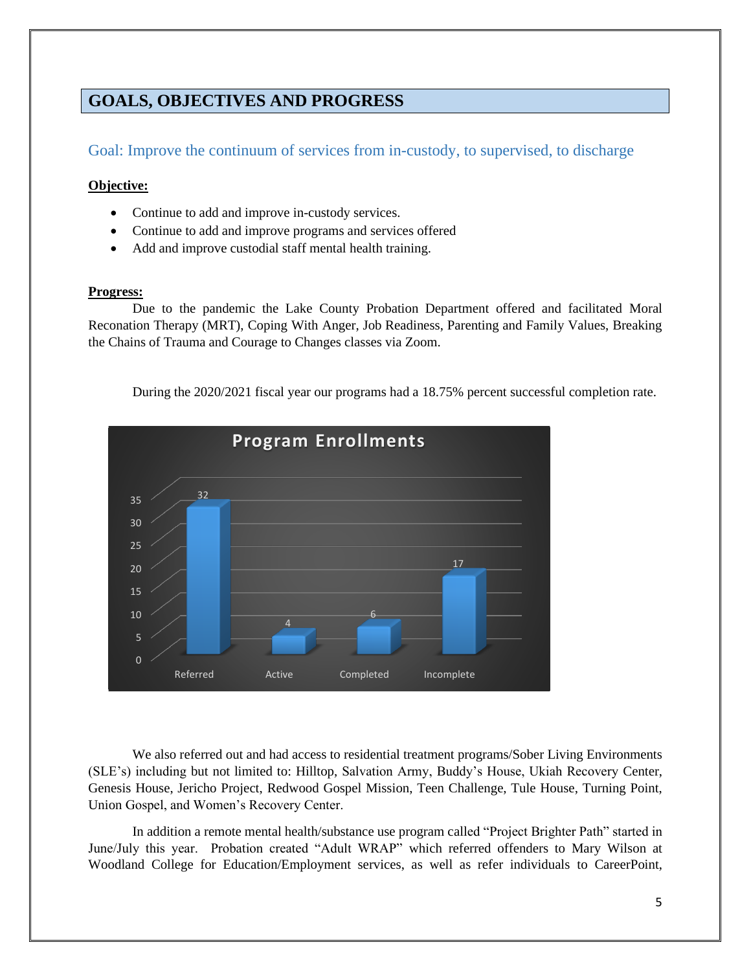# <span id="page-5-0"></span>**GOALS, OBJECTIVES AND PROGRESS**

<span id="page-5-1"></span>Goal: Improve the continuum of services from in-custody, to supervised, to discharge

#### **Objective:**

- Continue to add and improve in-custody services.
- Continue to add and improve programs and services offered
- Add and improve custodial staff mental health training.

#### **Progress:**

Due to the pandemic the Lake County Probation Department offered and facilitated Moral Reconation Therapy (MRT), Coping With Anger, Job Readiness, Parenting and Family Values, Breaking the Chains of Trauma and Courage to Changes classes via Zoom.

During the 2020/2021 fiscal year our programs had a 18.75% percent successful completion rate.



We also referred out and had access to residential treatment programs/Sober Living Environments (SLE's) including but not limited to: Hilltop, Salvation Army, Buddy's House, Ukiah Recovery Center, Genesis House, Jericho Project, Redwood Gospel Mission, Teen Challenge, Tule House, Turning Point, Union Gospel, and Women's Recovery Center.

In addition a remote mental health/substance use program called "Project Brighter Path" started in June/July this year. Probation created "Adult WRAP" which referred offenders to Mary Wilson at Woodland College for Education/Employment services, as well as refer individuals to CareerPoint,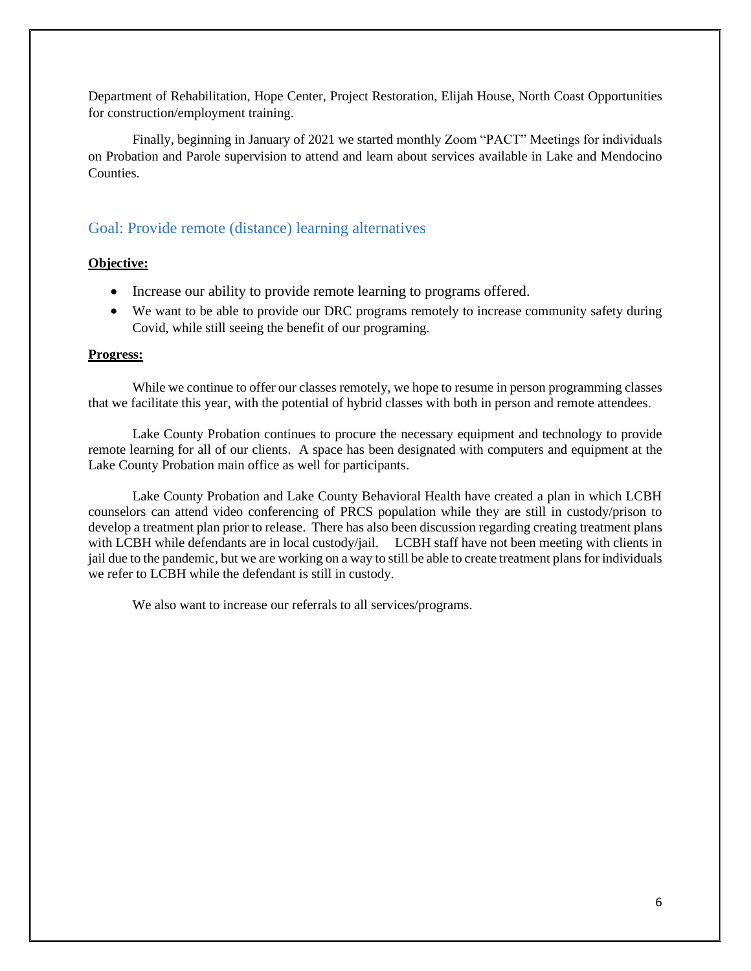Department of Rehabilitation, Hope Center, Project Restoration, Elijah House, North Coast Opportunities for construction/employment training.

Finally, beginning in January of 2021 we started monthly Zoom "PACT" Meetings for individuals on Probation and Parole supervision to attend and learn about services available in Lake and Mendocino **Counties** 

#### <span id="page-6-0"></span>Goal: Provide remote (distance) learning alternatives

#### **Objective:**

- Increase our ability to provide remote learning to programs offered.
- We want to be able to provide our DRC programs remotely to increase community safety during Covid, while still seeing the benefit of our programing.

#### **Progress:**

While we continue to offer our classes remotely, we hope to resume in person programming classes that we facilitate this year, with the potential of hybrid classes with both in person and remote attendees.

Lake County Probation continues to procure the necessary equipment and technology to provide remote learning for all of our clients. A space has been designated with computers and equipment at the Lake County Probation main office as well for participants.

Lake County Probation and Lake County Behavioral Health have created a plan in which LCBH counselors can attend video conferencing of PRCS population while they are still in custody/prison to develop a treatment plan prior to release. There has also been discussion regarding creating treatment plans with LCBH while defendants are in local custody/jail. LCBH staff have not been meeting with clients in jail due to the pandemic, but we are working on a way to still be able to create treatment plans for individuals we refer to LCBH while the defendant is still in custody.

<span id="page-6-1"></span>We also want to increase our referrals to all services/programs.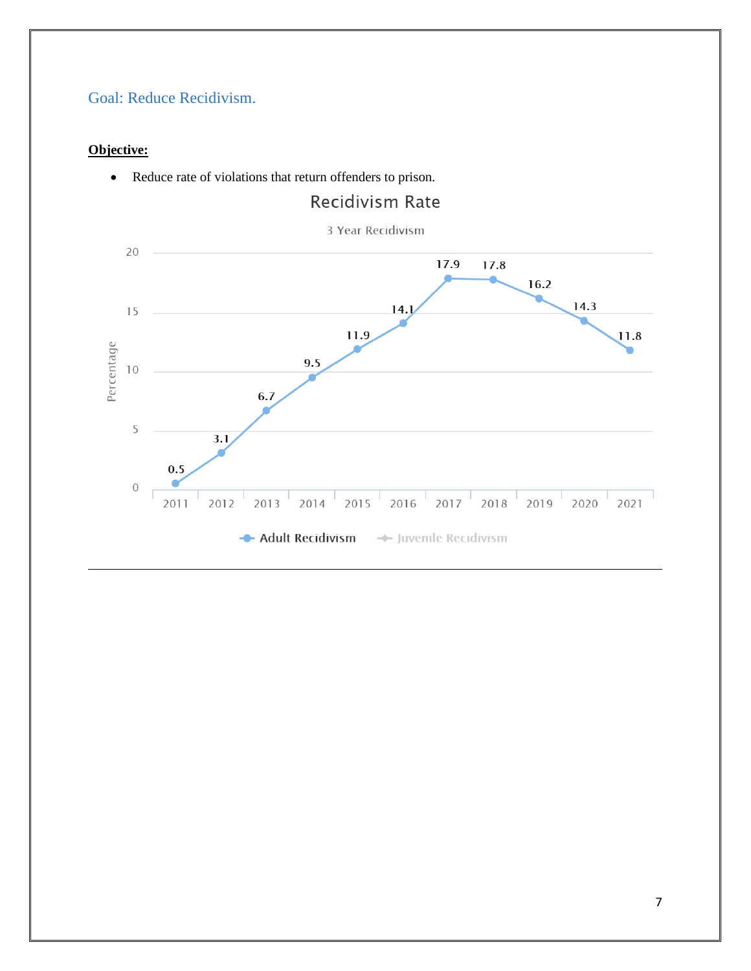# Goal: Reduce Recidivism.

#### **Objective:**



• Reduce rate of violations that return offenders to prison.

# **Recidivism Rate**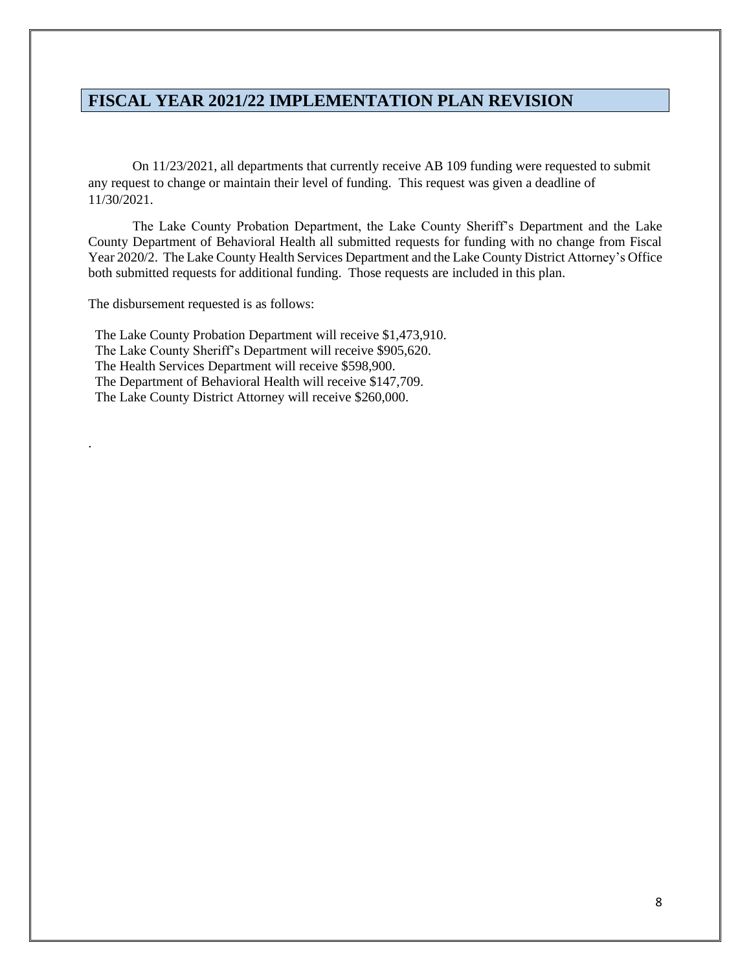### <span id="page-8-0"></span>**FISCAL YEAR 2021/22 IMPLEMENTATION PLAN REVISION**

On 11/23/2021, all departments that currently receive AB 109 funding were requested to submit any request to change or maintain their level of funding. This request was given a deadline of 11/30/2021.

The Lake County Probation Department, the Lake County Sheriff's Department and the Lake County Department of Behavioral Health all submitted requests for funding with no change from Fiscal Year 2020/2. The Lake County Health Services Department and the Lake County District Attorney's Office both submitted requests for additional funding. Those requests are included in this plan.

The disbursement requested is as follows:

.

 The Lake County Probation Department will receive \$1,473,910. The Lake County Sheriff's Department will receive \$905,620. The Health Services Department will receive \$598,900. The Department of Behavioral Health will receive \$147,709. The Lake County District Attorney will receive \$260,000.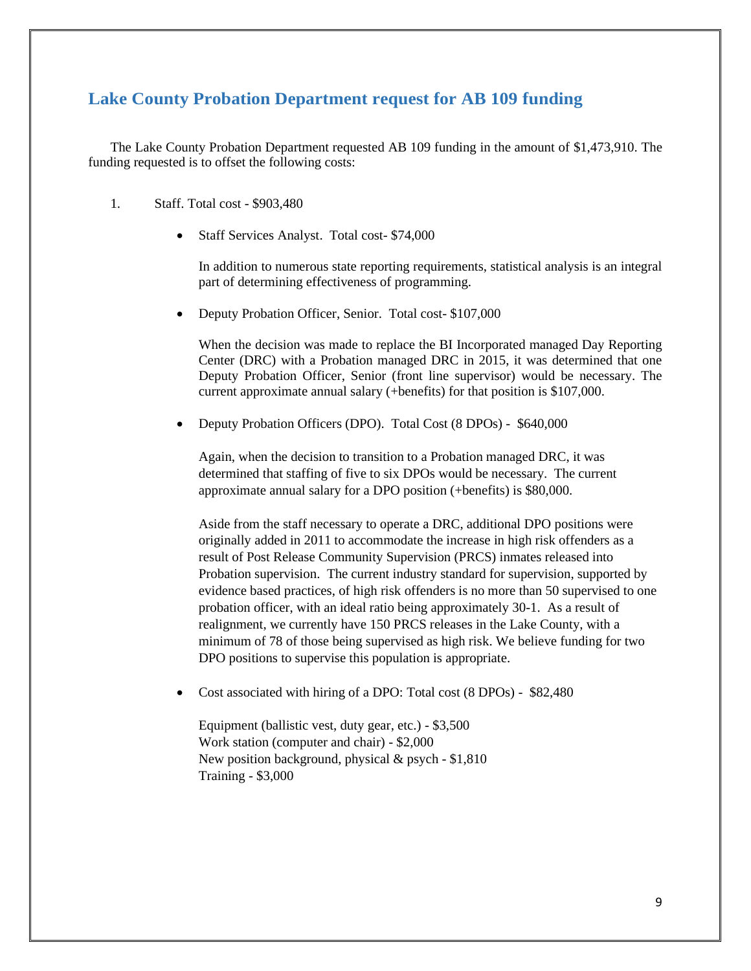### <span id="page-9-0"></span>**Lake County Probation Department request for AB 109 funding**

The Lake County Probation Department requested AB 109 funding in the amount of \$1,473,910. The funding requested is to offset the following costs:

- 1. Staff. Total cost \$903,480
	- Staff Services Analyst. Total cost- \$74,000

In addition to numerous state reporting requirements, statistical analysis is an integral part of determining effectiveness of programming.

• Deputy Probation Officer, Senior. Total cost- \$107,000

When the decision was made to replace the BI Incorporated managed Day Reporting Center (DRC) with a Probation managed DRC in 2015, it was determined that one Deputy Probation Officer, Senior (front line supervisor) would be necessary. The current approximate annual salary (+benefits) for that position is \$107,000.

• Deputy Probation Officers (DPO). Total Cost (8 DPOs) - \$640,000

Again, when the decision to transition to a Probation managed DRC, it was determined that staffing of five to six DPOs would be necessary. The current approximate annual salary for a DPO position (+benefits) is \$80,000.

Aside from the staff necessary to operate a DRC, additional DPO positions were originally added in 2011 to accommodate the increase in high risk offenders as a result of Post Release Community Supervision (PRCS) inmates released into Probation supervision. The current industry standard for supervision, supported by evidence based practices, of high risk offenders is no more than 50 supervised to one probation officer, with an ideal ratio being approximately 30-1. As a result of realignment, we currently have 150 PRCS releases in the Lake County, with a minimum of 78 of those being supervised as high risk. We believe funding for two DPO positions to supervise this population is appropriate.

• Cost associated with hiring of a DPO: Total cost (8 DPOs) - \$82,480

Equipment (ballistic vest, duty gear, etc.) - \$3,500 Work station (computer and chair) - \$2,000 New position background, physical & psych - \$1,810 Training - \$3,000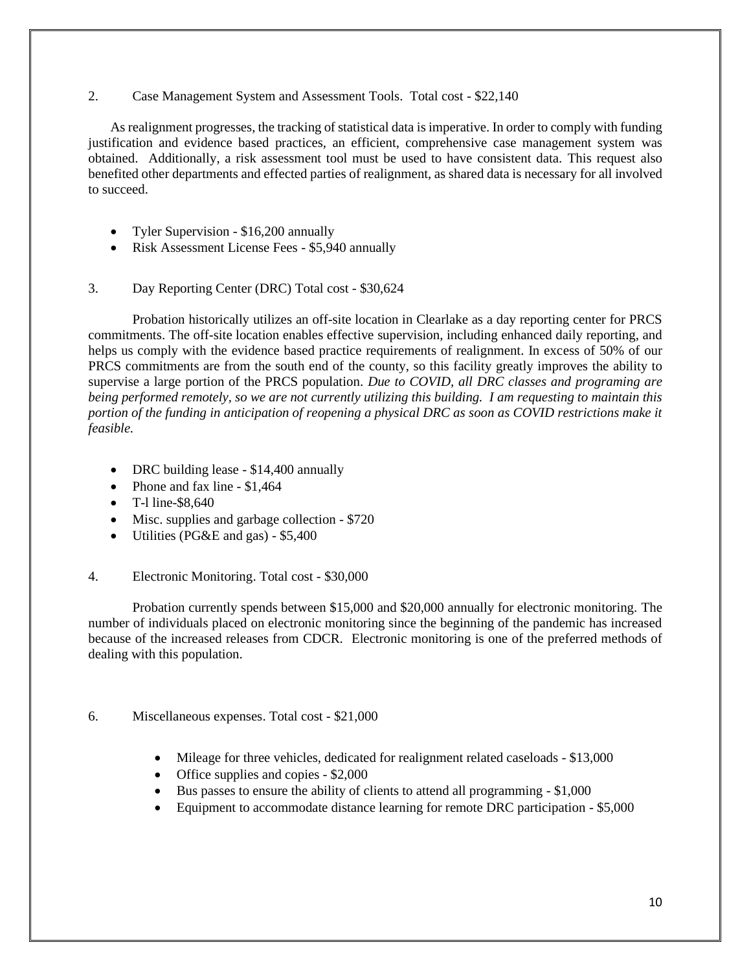#### 2. Case Management System and Assessment Tools. Total cost - \$22,140

As realignment progresses, the tracking of statistical data is imperative. In order to comply with funding justification and evidence based practices, an efficient, comprehensive case management system was obtained. Additionally, a risk assessment tool must be used to have consistent data. This request also benefited other departments and effected parties of realignment, as shared data is necessary for all involved to succeed.

- Tyler Supervision \$16,200 annually
- Risk Assessment License Fees \$5,940 annually
- 3. Day Reporting Center (DRC) Total cost \$30,624

Probation historically utilizes an off-site location in Clearlake as a day reporting center for PRCS commitments. The off-site location enables effective supervision, including enhanced daily reporting, and helps us comply with the evidence based practice requirements of realignment. In excess of 50% of our PRCS commitments are from the south end of the county, so this facility greatly improves the ability to supervise a large portion of the PRCS population. *Due to COVID, all DRC classes and programing are being performed remotely, so we are not currently utilizing this building. I am requesting to maintain this portion of the funding in anticipation of reopening a physical DRC as soon as COVID restrictions make it feasible.*

- DRC building lease \$14,400 annually
- Phone and fax line \$1,464
- T-1 line-\$8,640
- Misc. supplies and garbage collection \$720
- Utilities (PG&E and gas) \$5,400

#### 4. Electronic Monitoring. Total cost - \$30,000

Probation currently spends between \$15,000 and \$20,000 annually for electronic monitoring. The number of individuals placed on electronic monitoring since the beginning of the pandemic has increased because of the increased releases from CDCR. Electronic monitoring is one of the preferred methods of dealing with this population.

#### 6. Miscellaneous expenses. Total cost - \$21,000

- Mileage for three vehicles, dedicated for realignment related caseloads \$13,000
- Office supplies and copies \$2,000
- Bus passes to ensure the ability of clients to attend all programming \$1,000
- Equipment to accommodate distance learning for remote DRC participation \$5,000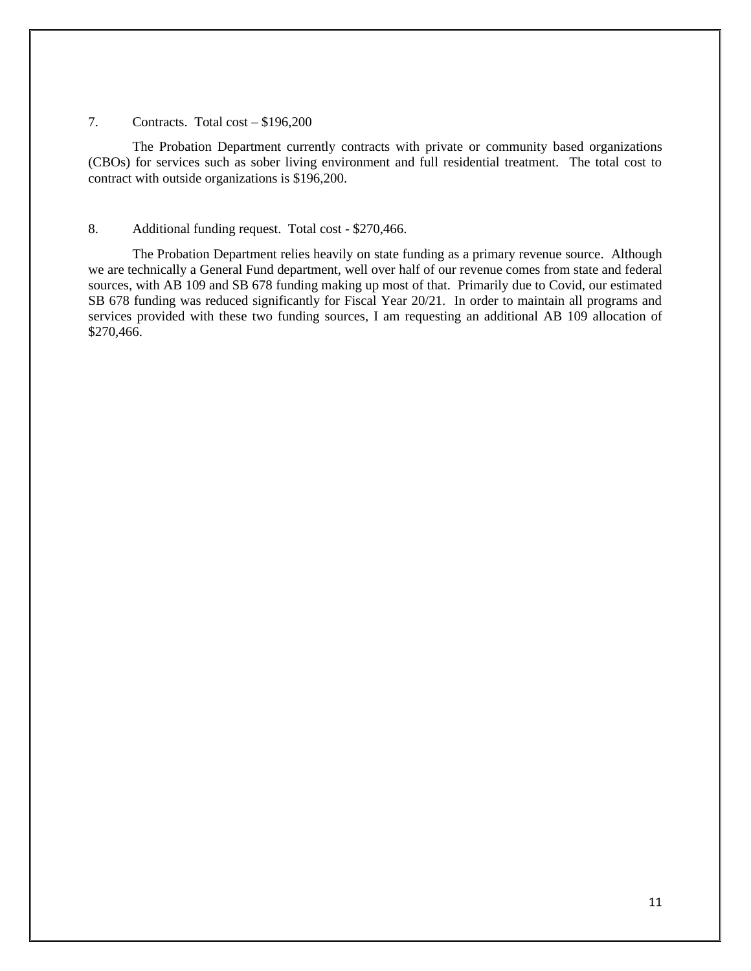#### 7. Contracts. Total cost – \$196,200

The Probation Department currently contracts with private or community based organizations (CBOs) for services such as sober living environment and full residential treatment. The total cost to contract with outside organizations is \$196,200.

#### 8. Additional funding request. Total cost - \$270,466.

The Probation Department relies heavily on state funding as a primary revenue source. Although we are technically a General Fund department, well over half of our revenue comes from state and federal sources, with AB 109 and SB 678 funding making up most of that. Primarily due to Covid, our estimated SB 678 funding was reduced significantly for Fiscal Year 20/21. In order to maintain all programs and services provided with these two funding sources, I am requesting an additional AB 109 allocation of \$270,466.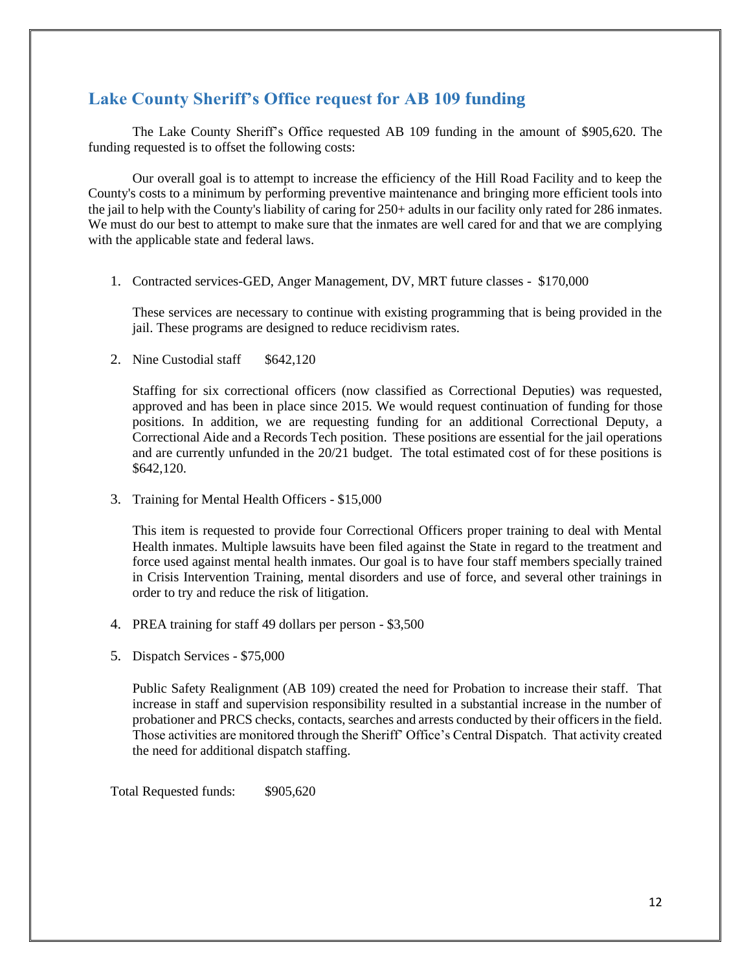# <span id="page-12-0"></span>**Lake County Sheriff's Office request for AB 109 funding**

The Lake County Sheriff's Office requested AB 109 funding in the amount of \$905,620. The funding requested is to offset the following costs:

Our overall goal is to attempt to increase the efficiency of the Hill Road Facility and to keep the County's costs to a minimum by performing preventive maintenance and bringing more efficient tools into the jail to help with the County's liability of caring for 250+ adults in our facility only rated for 286 inmates. We must do our best to attempt to make sure that the inmates are well cared for and that we are complying with the applicable state and federal laws.

1. Contracted services-GED, Anger Management, DV, MRT future classes - \$170,000

These services are necessary to continue with existing programming that is being provided in the jail. These programs are designed to reduce recidivism rates.

2. Nine Custodial staff \$642,120

Staffing for six correctional officers (now classified as Correctional Deputies) was requested, approved and has been in place since 2015. We would request continuation of funding for those positions. In addition, we are requesting funding for an additional Correctional Deputy, a Correctional Aide and a Records Tech position. These positions are essential for the jail operations and are currently unfunded in the 20/21 budget. The total estimated cost of for these positions is \$642,120.

3. Training for Mental Health Officers - \$15,000

This item is requested to provide four Correctional Officers proper training to deal with Mental Health inmates. Multiple lawsuits have been filed against the State in regard to the treatment and force used against mental health inmates. Our goal is to have four staff members specially trained in Crisis Intervention Training, mental disorders and use of force, and several other trainings in order to try and reduce the risk of litigation.

- 4. PREA training for staff 49 dollars per person \$3,500
- 5. Dispatch Services \$75,000

Public Safety Realignment (AB 109) created the need for Probation to increase their staff. That increase in staff and supervision responsibility resulted in a substantial increase in the number of probationer and PRCS checks, contacts, searches and arrests conducted by their officers in the field. Those activities are monitored through the Sheriff' Office's Central Dispatch. That activity created the need for additional dispatch staffing.

Total Requested funds: \$905,620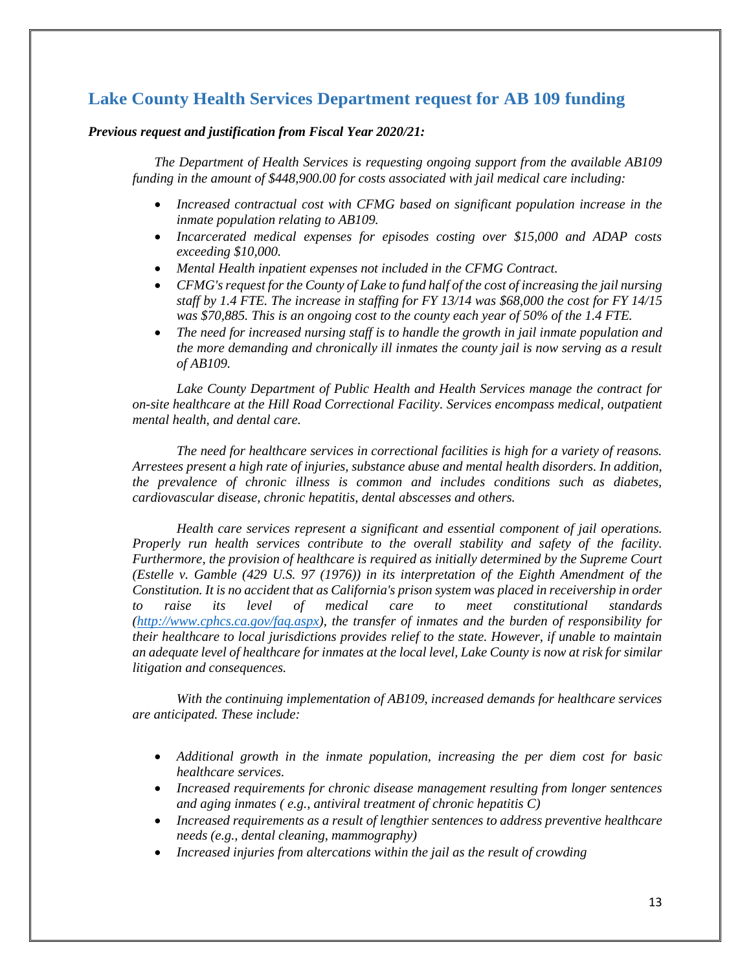# <span id="page-13-0"></span>**Lake County Health Services Department request for AB 109 funding**

#### *Previous request and justification from Fiscal Year 2020/21:*

*The Department of Health Services is requesting ongoing support from the available AB109 funding in the amount of \$448,900.00 for costs associated with jail medical care including:*

- *Increased contractual cost with CFMG based on significant population increase in the inmate population relating to AB109.*
- *Incarcerated medical expenses for episodes costing over \$15,000 and ADAP costs exceeding \$10,000.*
- *Mental Health inpatient expenses not included in the CFMG Contract.*
- *CFMG's request for the County of Lake to fund half of the cost of increasing the jail nursing staff by 1.4 FTE. The increase in staffing for FY 13/14 was \$68,000 the cost for FY 14/15 was \$70,885. This is an ongoing cost to the county each year of 50% of the 1.4 FTE.*
- *The need for increased nursing staff is to handle the growth in jail inmate population and the more demanding and chronically ill inmates the county jail is now serving as a result of AB109.*

*Lake County Department of Public Health and Health Services manage the contract for on-site healthcare at the Hill Road Correctional Facility. Services encompass medical, outpatient mental health, and dental care.*

*The need for healthcare services in correctional facilities is high for a variety of reasons. Arrestees present a high rate of injuries, substance abuse and mental health disorders. In addition, the prevalence of chronic illness is common and includes conditions such as diabetes, cardiovascular disease, chronic hepatitis, dental abscesses and others.*

*Health care services represent a significant and essential component of jail operations. Properly run health services contribute to the overall stability and safety of the facility. Furthermore, the provision of healthcare is required as initially determined by the Supreme Court (Estelle v. Gamble (429 U.S. 97 (1976)) in its interpretation of the Eighth Amendment of the Constitution. It is no accident that as California's prison system was placed in receivership in order to raise its level of medical care to meet constitutional standards [\(http://www.cphcs.ca.gov/faq.aspx\)](http://www.cphcs.ca.gov/faq.aspx), the transfer of inmates and the burden of responsibility for their healthcare to local jurisdictions provides relief to the state. However, if unable to maintain an adequate level of healthcare for inmates at the local level, Lake County is now at risk for similar litigation and consequences.*

*With the continuing implementation of AB109, increased demands for healthcare services are anticipated. These include:*

- *Additional growth in the inmate population, increasing the per diem cost for basic healthcare services.*
- *Increased requirements for chronic disease management resulting from longer sentences and aging inmates ( e.g., antiviral treatment of chronic hepatitis C)*
- *Increased requirements as a result of lengthier sentences to address preventive healthcare needs (e.g., dental cleaning, mammography)*
- *Increased injuries from altercations within the jail as the result of crowding*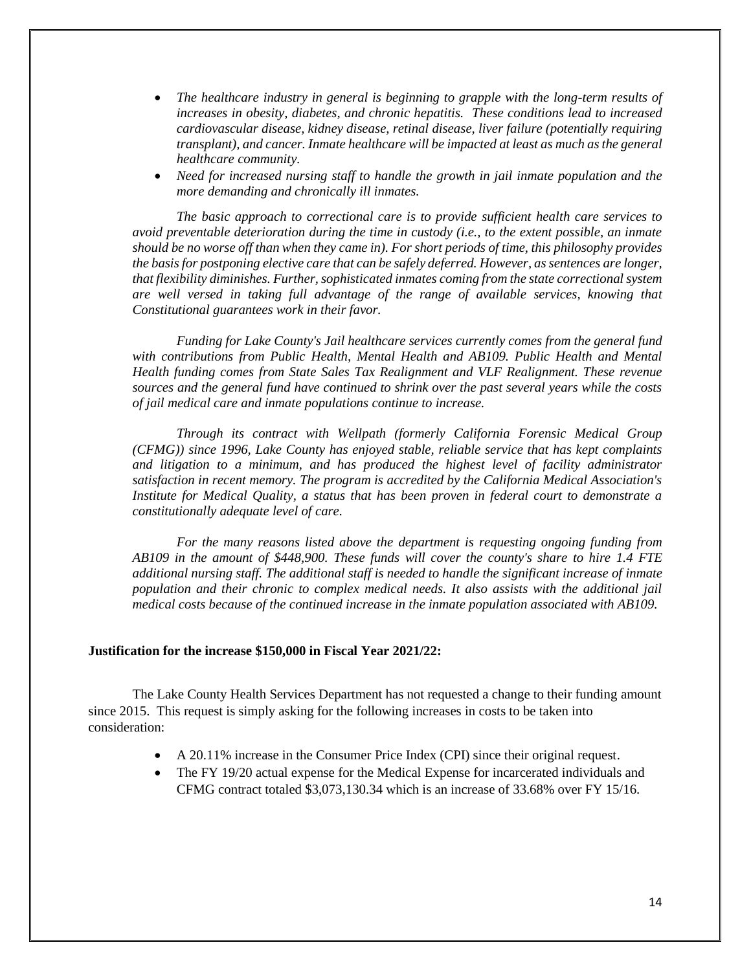- *The healthcare industry in general is beginning to grapple with the long-term results of increases in obesity, diabetes, and chronic hepatitis. These conditions lead to increased cardiovascular disease, kidney disease, retinal disease, liver failure (potentially requiring transplant), and cancer. Inmate healthcare will be impacted at least as much as the general healthcare community.*
- *Need for increased nursing staff to handle the growth in jail inmate population and the more demanding and chronically ill inmates.*

*The basic approach to correctional care is to provide sufficient health care services to avoid preventable deterioration during the time in custody (i.e., to the extent possible, an inmate should be no worse off than when they came in). For short periods of time, this philosophy provides the basis for postponing elective care that can be safely deferred. However, as sentences are longer, that flexibility diminishes. Further, sophisticated inmates coming from the state correctional system are well versed in taking full advantage of the range of available services, knowing that Constitutional guarantees work in their favor.*

*Funding for Lake County's Jail healthcare services currently comes from the general fund with contributions from Public Health, Mental Health and AB109. Public Health and Mental Health funding comes from State Sales Tax Realignment and VLF Realignment. These revenue sources and the general fund have continued to shrink over the past several years while the costs of jail medical care and inmate populations continue to increase.*

*Through its contract with Wellpath (formerly California Forensic Medical Group (CFMG)) since 1996, Lake County has enjoyed stable, reliable service that has kept complaints and litigation to a minimum, and has produced the highest level of facility administrator satisfaction in recent memory. The program is accredited by the California Medical Association's Institute for Medical Quality, a status that has been proven in federal court to demonstrate a constitutionally adequate level of care.*

*For the many reasons listed above the department is requesting ongoing funding from AB109 in the amount of \$448,900. These funds will cover the county's share to hire 1.4 FTE additional nursing staff. The additional staff is needed to handle the significant increase of inmate population and their chronic to complex medical needs. It also assists with the additional jail medical costs because of the continued increase in the inmate population associated with AB109.*

#### **Justification for the increase \$150,000 in Fiscal Year 2021/22:**

The Lake County Health Services Department has not requested a change to their funding amount since 2015. This request is simply asking for the following increases in costs to be taken into consideration:

- A 20.11% increase in the Consumer Price Index (CPI) since their original request.
- The FY 19/20 actual expense for the Medical Expense for incarcerated individuals and CFMG contract totaled \$3,073,130.34 which is an increase of 33.68% over FY 15/16.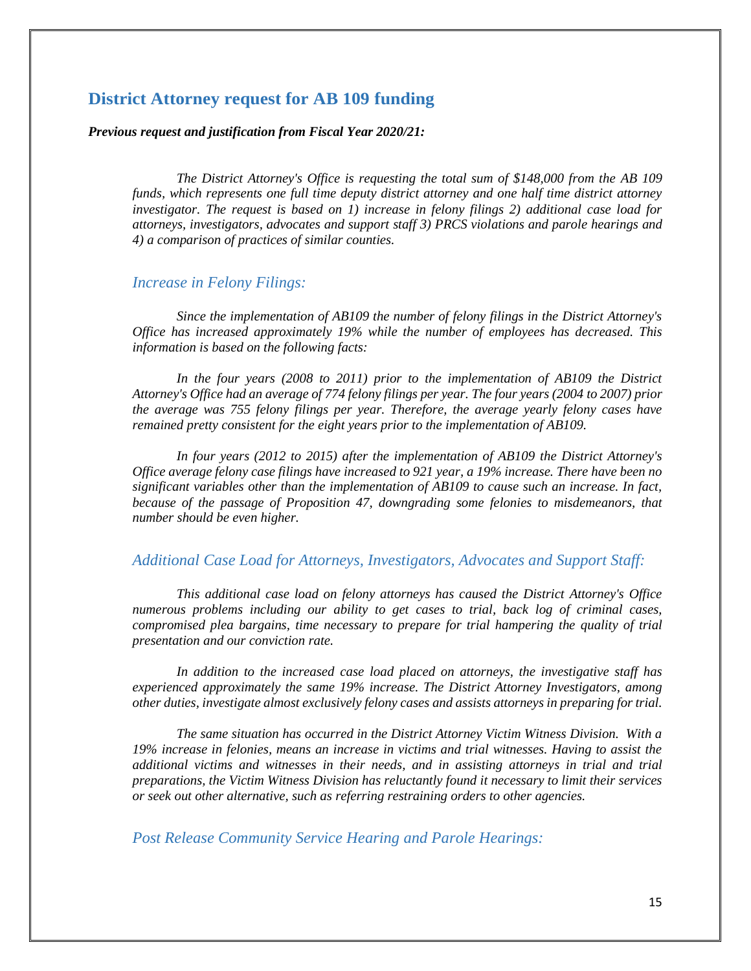#### <span id="page-15-0"></span>**District Attorney request for AB 109 funding**

#### *Previous request and justification from Fiscal Year 2020/21:*

*The District Attorney's Office is requesting the total sum of \$148,000 from the AB 109 funds, which represents one full time deputy district attorney and one half time district attorney investigator. The request is based on 1) increase in felony filings 2) additional case load for attorneys, investigators, advocates and support staff 3) PRCS violations and parole hearings and 4) a comparison of practices of similar counties.*

#### *Increase in Felony Filings:*

*Since the implementation of AB109 the number of felony filings in the District Attorney's Office has increased approximately 19% while the number of employees has decreased. This information is based on the following facts:*

*In the four years (2008 to 2011) prior to the implementation of AB109 the District Attorney's Office had an average of 774 felony filings per year. The four years (2004 to 2007) prior the average was 755 felony filings per year. Therefore, the average yearly felony cases have remained pretty consistent for the eight years prior to the implementation of AB109.*

*In four years (2012 to 2015) after the implementation of AB109 the District Attorney's Office average felony case filings have increased to 921 year, a 19% increase. There have been no significant variables other than the implementation of AB109 to cause such an increase. In fact, because of the passage of Proposition 47, downgrading some felonies to misdemeanors, that number should be even higher.*

#### *Additional Case Load for Attorneys, Investigators, Advocates and Support Staff:*

*This additional case load on felony attorneys has caused the District Attorney's Office numerous problems including our ability to get cases to trial, back log of criminal cases, compromised plea bargains, time necessary to prepare for trial hampering the quality of trial presentation and our conviction rate.*

*In addition to the increased case load placed on attorneys, the investigative staff has experienced approximately the same 19% increase. The District Attorney Investigators, among other duties, investigate almost exclusively felony cases and assists attorneys in preparing for trial.*

*The same situation has occurred in the District Attorney Victim Witness Division. With a 19% increase in felonies, means an increase in victims and trial witnesses. Having to assist the additional victims and witnesses in their needs, and in assisting attorneys in trial and trial preparations, the Victim Witness Division has reluctantly found it necessary to limit their services or seek out other alternative, such as referring restraining orders to other agencies.*

#### *Post Release Community Service Hearing and Parole Hearings:*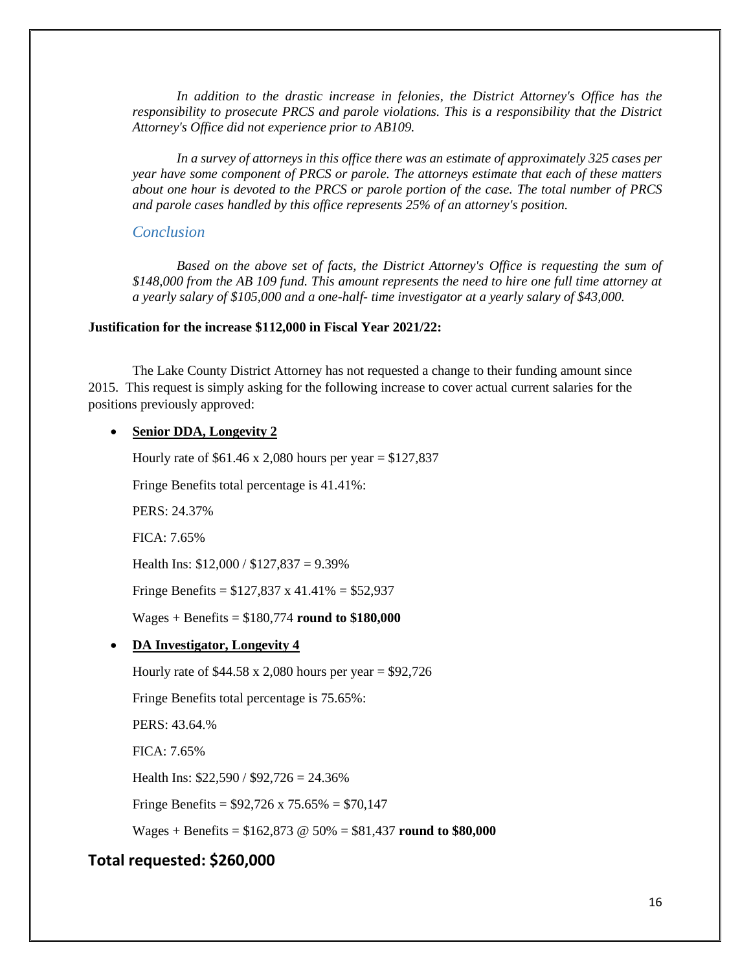*In addition to the drastic increase in felonies, the District Attorney's Office has the responsibility to prosecute PRCS and parole violations. This is a responsibility that the District Attorney's Office did not experience prior to AB109.*

*In a survey of attorneys in this office there was an estimate of approximately 325 cases per year have some component of PRCS or parole. The attorneys estimate that each of these matters about one hour is devoted to the PRCS or parole portion of the case. The total number of PRCS and parole cases handled by this office represents 25% of an attorney's position.*

#### *Conclusion*

*Based on the above set of facts, the District Attorney's Office is requesting the sum of \$148,000 from the AB 109 fund. This amount represents the need to hire one full time attorney at a yearly salary of \$105,000 and a one-half- time investigator at a yearly salary of \$43,000.*

#### **Justification for the increase \$112,000 in Fiscal Year 2021/22:**

The Lake County District Attorney has not requested a change to their funding amount since 2015. This request is simply asking for the following increase to cover actual current salaries for the positions previously approved:

#### • **Senior DDA, Longevity 2**

Hourly rate of  $$61.46 \times 2,080$  hours per year =  $$127,837$ 

Fringe Benefits total percentage is 41.41%:

PERS: 24.37%

FICA: 7.65%

Health Ins:  $$12,000 / $127,837 = 9.39\%$ 

Fringe Benefits =  $$127,837 \times 41.41\% = $52,937$ 

Wages + Benefits = \$180,774 **round to \$180,000**

• **DA Investigator, Longevity 4**

Hourly rate of  $$44.58 \times 2,080$  hours per year =  $$92,726$ 

Fringe Benefits total percentage is 75.65%:

PERS: 43.64.%

FICA: 7.65%

Health Ins: \$22,590 / \$92,726 = 24.36%

Fringe Benefits =  $$92,726 \times 75.65\% = $70,147$ 

Wages + Benefits = \$162,873 @ 50% = \$81,437 **round to \$80,000**

#### **Total requested: \$260,000**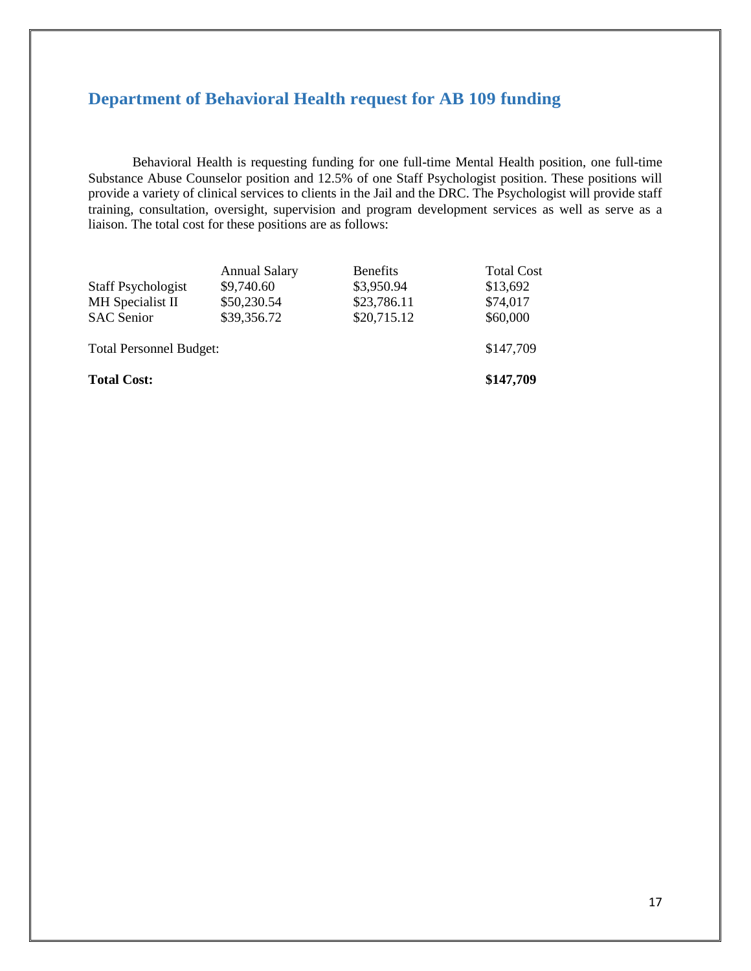# <span id="page-17-0"></span>**Department of Behavioral Health request for AB 109 funding**

Behavioral Health is requesting funding for one full-time Mental Health position, one full-time Substance Abuse Counselor position and 12.5% of one Staff Psychologist position. These positions will provide a variety of clinical services to clients in the Jail and the DRC. The Psychologist will provide staff training, consultation, oversight, supervision and program development services as well as serve as a liaison. The total cost for these positions are as follows:

|                                | <b>Annual Salary</b> | <b>Benefits</b> | <b>Total Cost</b> |
|--------------------------------|----------------------|-----------------|-------------------|
| <b>Staff Psychologist</b>      | \$9,740.60           | \$3,950.94      | \$13,692          |
| MH Specialist II               | \$50,230.54          | \$23,786.11     | \$74,017          |
| <b>SAC</b> Senior              | \$39,356.72          | \$20,715.12     |                   |
| <b>Total Personnel Budget:</b> |                      |                 | \$147,709         |
| <b>Total Cost:</b>             |                      |                 | \$147,709         |